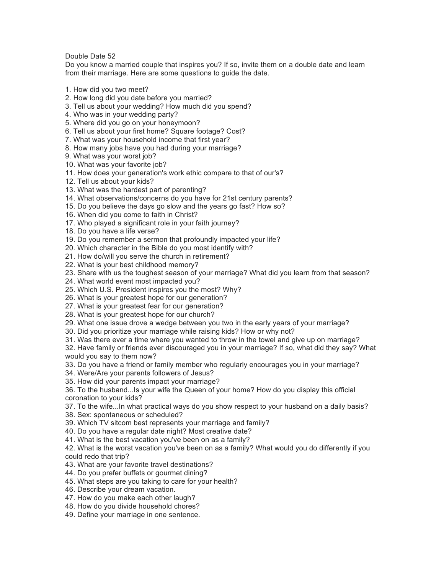Double Date 52

Do you know a married couple that inspires you? If so, invite them on a double date and learn from their marriage. Here are some questions to guide the date.

- 1. How did you two meet?
- 2. How long did you date before you married?
- 3. Tell us about your wedding? How much did you spend?
- 4. Who was in your wedding party?
- 5. Where did you go on your honeymoon?
- 6. Tell us about your first home? Square footage? Cost?
- 7. What was your household income that first year?
- 8. How many jobs have you had during your marriage?
- 9. What was your worst job?
- 10. What was your favorite job?
- 11. How does your generation's work ethic compare to that of our's?
- 12. Tell us about your kids?
- 13. What was the hardest part of parenting?
- 14. What observations/concerns do you have for 21st century parents?
- 15. Do you believe the days go slow and the years go fast? How so?
- 16. When did you come to faith in Christ?
- 17. Who played a significant role in your faith journey?
- 18. Do you have a life verse?
- 19. Do you remember a sermon that profoundly impacted your life?
- 20. Which character in the Bible do you most identify with?
- 21. How do/will you serve the church in retirement?
- 22. What is your best childhood memory?
- 23. Share with us the toughest season of your marriage? What did you learn from that season?
- 24. What world event most impacted you?
- 25. Which U.S. President inspires you the most? Why?
- 26. What is your greatest hope for our generation?
- 27. What is your greatest fear for our generation?
- 28. What is your greatest hope for our church?
- 29. What one issue drove a wedge between you two in the early years of your marriage?
- 30. Did you prioritize your marriage while raising kids? How or why not?
- 31. Was there ever a time where you wanted to throw in the towel and give up on marriage?

32. Have family or friends ever discouraged you in your marriage? If so, what did they say? What would you say to them now?

33. Do you have a friend or family member who regularly encourages you in your marriage?

34. Were/Are your parents followers of Jesus?

35. How did your parents impact your marriage?

36. To the husband...Is your wife the Queen of your home? How do you display this official coronation to your kids?

- 37. To the wife...In what practical ways do you show respect to your husband on a daily basis?
- 38. Sex: spontaneous or scheduled?
- 39. Which TV sitcom best represents your marriage and family?
- 40. Do you have a regular date night? Most creative date?
- 41. What is the best vacation you've been on as a family?

42. What is the worst vacation you've been on as a family? What would you do differently if you could redo that trip?

- 43. What are your favorite travel destinations?
- 44. Do you prefer buffets or gourmet dining?
- 45. What steps are you taking to care for your health?
- 46. Describe your dream vacation.
- 47. How do you make each other laugh?
- 48. How do you divide household chores?
- 49. Define your marriage in one sentence.